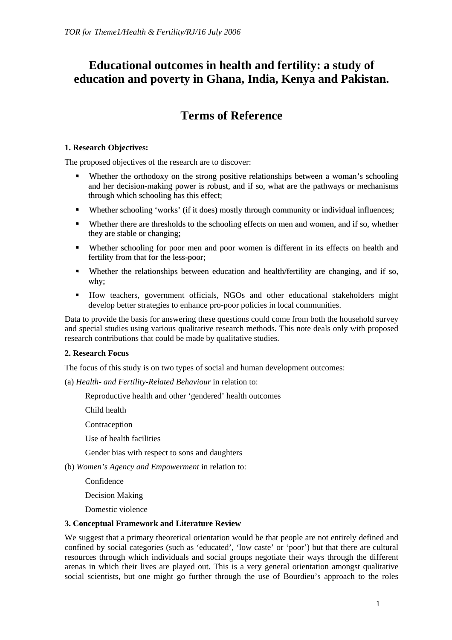# **Educational outcomes in health and fertility: a study of education and poverty in Ghana, India, Kenya and Pakistan.**

# **Terms of Reference**

# **1. Research Objectives:**

The proposed objectives of the research are to discover:

- Whether the orthodoxy on the strong positive relationships between a woman's schooling and her decision-making power is robust, and if so, what are the pathways or mechanisms through which schooling has this effect;
- Whether schooling 'works' (if it does) mostly through community or individual influences;
- Whether there are thresholds to the schooling effects on men and women, and if so, whether they are stable or changing;
- Whether schooling for poor men and poor women is different in its effects on health and fertility from that for the less-poor;
- Whether the relationships between education and health/fertility are changing, and if so, why;
- How teachers, government officials, NGOs and other educational stakeholders might develop better strategies to enhance pro-poor policies in local communities.

Data to provide the basis for answering these questions could come from both the household survey and special studies using various qualitative research methods. This note deals only with proposed research contributions that could be made by qualitative studies.

# **2. Research Focus**

The focus of this study is on two types of social and human development outcomes:

(a) *Health- and Fertility-Related Behaviour* in relation to:

Reproductive health and other 'gendered' health outcomes

Child health

Contraception

Use of health facilities

Gender bias with respect to sons and daughters

(b) *Women's Agency and Empowerment* in relation to:

Confidence

Decision Making

Domestic violence

# **3. Conceptual Framework and Literature Review**

We suggest that a primary theoretical orientation would be that people are not entirely defined and confined by social categories (such as 'educated', 'low caste' or 'poor') but that there are cultural resources through which individuals and social groups negotiate their ways through the different arenas in which their lives are played out. This is a very general orientation amongst qualitative social scientists, but one might go further through the use of Bourdieu's approach to the roles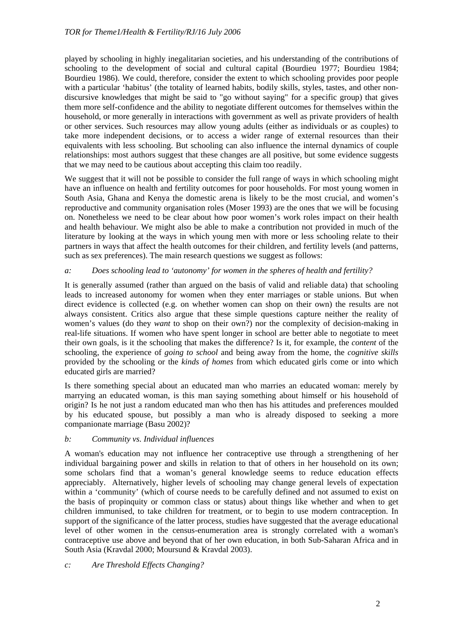played by schooling in highly inegalitarian societies, and his understanding of the contributions of schooling to the development of social and cultural capital (Bourdieu 1977; Bourdieu 1984; Bourdieu 1986). We could, therefore, consider the extent to which schooling provides poor people with a particular 'habitus' (the totality of learned habits, bodily skills, styles, tastes, and other nondiscursive knowledges that might be said to "go without saying" for a specific group) that gives them more self-confidence and the ability to negotiate different outcomes for themselves within the household, or more generally in interactions with government as well as private providers of health or other services. Such resources may allow young adults (either as individuals or as couples) to take more independent decisions, or to access a wider range of external resources than their equivalents with less schooling. But schooling can also influence the internal dynamics of couple relationships: most authors suggest that these changes are all positive, but some evidence suggests that we may need to be cautious about accepting this claim too readily.

We suggest that it will not be possible to consider the full range of ways in which schooling might have an influence on health and fertility outcomes for poor households. For most young women in South Asia, Ghana and Kenya the domestic arena is likely to be the most crucial, and women's reproductive and community organisation roles (Moser 1993) are the ones that we will be focusing on. Nonetheless we need to be clear about how poor women's work roles impact on their health and health behaviour. We might also be able to make a contribution not provided in much of the literature by looking at the ways in which young men with more or less schooling relate to their partners in ways that affect the health outcomes for their children, and fertility levels (and patterns, such as sex preferences). The main research questions we suggest as follows:

#### *a: Does schooling lead to 'autonomy' for women in the spheres of health and fertility?*

It is generally assumed (rather than argued on the basis of valid and reliable data) that schooling leads to increased autonomy for women when they enter marriages or stable unions. But when direct evidence is collected (e.g. on whether women can shop on their own) the results are not always consistent. Critics also argue that these simple questions capture neither the reality of women's values (do they *want* to shop on their own?) nor the complexity of decision-making in real-life situations. If women who have spent longer in school are better able to negotiate to meet their own goals, is it the schooling that makes the difference? Is it, for example, the *content* of the schooling, the experience of *going to school* and being away from the home, the *cognitive skills*  provided by the schooling or the *kinds of homes* from which educated girls come or into which educated girls are married?

Is there something special about an educated man who marries an educated woman: merely by marrying an educated woman, is this man saying something about himself or his household of origin? Is he not just a random educated man who then has his attitudes and preferences moulded by his educated spouse, but possibly a man who is already disposed to seeking a more companionate marriage (Basu 2002)?

#### *b: Community vs. Individual influences*

A woman's education may not influence her contraceptive use through a strengthening of her individual bargaining power and skills in relation to that of others in her household on its own; some scholars find that a woman's general knowledge seems to reduce education effects appreciably. Alternatively, higher levels of schooling may change general levels of expectation within a 'community' (which of course needs to be carefully defined and not assumed to exist on the basis of propinquity or common class or status) about things like whether and when to get children immunised, to take children for treatment, or to begin to use modern contraception. In support of the significance of the latter process, studies have suggested that the average educational level of other women in the census-enumeration area is strongly correlated with a woman's contraceptive use above and beyond that of her own education, in both Sub-Saharan Africa and in South Asia (Kravdal 2000; Moursund & Kravdal 2003).

#### *c: Are Threshold Effects Changing?*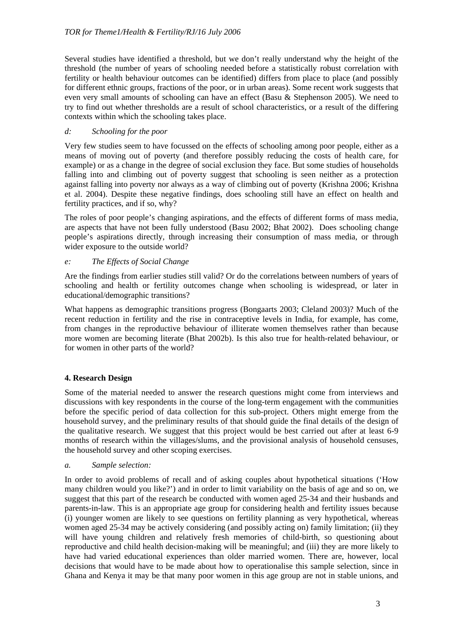Several studies have identified a threshold, but we don't really understand why the height of the threshold (the number of years of schooling needed before a statistically robust correlation with fertility or health behaviour outcomes can be identified) differs from place to place (and possibly for different ethnic groups, fractions of the poor, or in urban areas). Some recent work suggests that even very small amounts of schooling can have an effect (Basu & Stephenson 2005). We need to try to find out whether thresholds are a result of school characteristics, or a result of the differing contexts within which the schooling takes place.

#### *d: Schooling for the poor*

Very few studies seem to have focussed on the effects of schooling among poor people, either as a means of moving out of poverty (and therefore possibly reducing the costs of health care, for example) or as a change in the degree of social exclusion they face. But some studies of households falling into and climbing out of poverty suggest that schooling is seen neither as a protection against falling into poverty nor always as a way of climbing out of poverty (Krishna 2006; Krishna et al. 2004). Despite these negative findings, does schooling still have an effect on health and fertility practices, and if so, why?

The roles of poor people's changing aspirations, and the effects of different forms of mass media, are aspects that have not been fully understood (Basu 2002; Bhat 2002). Does schooling change people's aspirations directly, through increasing their consumption of mass media, or through wider exposure to the outside world?

#### *e: The Effects of Social Change*

Are the findings from earlier studies still valid? Or do the correlations between numbers of years of schooling and health or fertility outcomes change when schooling is widespread, or later in educational/demographic transitions?

What happens as demographic transitions progress (Bongaarts 2003; Cleland 2003)? Much of the recent reduction in fertility and the rise in contraceptive levels in India, for example, has come, from changes in the reproductive behaviour of illiterate women themselves rather than because more women are becoming literate (Bhat 2002b). Is this also true for health-related behaviour, or for women in other parts of the world?

# **4. Research Design**

Some of the material needed to answer the research questions might come from interviews and discussions with key respondents in the course of the long-term engagement with the communities before the specific period of data collection for this sub-project. Others might emerge from the household survey, and the preliminary results of that should guide the final details of the design of the qualitative research. We suggest that this project would be best carried out after at least 6-9 months of research within the villages/slums, and the provisional analysis of household censuses, the household survey and other scoping exercises.

#### *a. Sample selection:*

In order to avoid problems of recall and of asking couples about hypothetical situations ('How many children would you like?') and in order to limit variability on the basis of age and so on, we suggest that this part of the research be conducted with women aged 25-34 and their husbands and parents-in-law. This is an appropriate age group for considering health and fertility issues because (i) younger women are likely to see questions on fertility planning as very hypothetical, whereas women aged 25-34 may be actively considering (and possibly acting on) family limitation; (ii) they will have young children and relatively fresh memories of child-birth, so questioning about reproductive and child health decision-making will be meaningful; and (iii) they are more likely to have had varied educational experiences than older married women. There are, however, local decisions that would have to be made about how to operationalise this sample selection, since in Ghana and Kenya it may be that many poor women in this age group are not in stable unions, and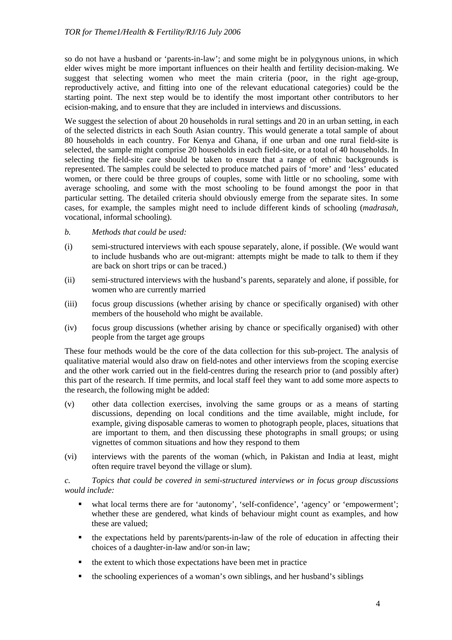so do not have a husband or 'parents-in-law'; and some might be in polygynous unions, in which elder wives might be more important influences on their health and fertility decision-making. We suggest that selecting women who meet the main criteria (poor, in the right age-group, reproductively active, and fitting into one of the relevant educational categories) could be the starting point. The next step would be to identify the most important other contributors to her ecision-making, and to ensure that they are included in interviews and discussions.

We suggest the selection of about 20 households in rural settings and 20 in an urban setting, in each of the selected districts in each South Asian country. This would generate a total sample of about 80 households in each country. For Kenya and Ghana, if one urban and one rural field-site is selected, the sample might comprise 20 households in each field-site, or a total of 40 households. In selecting the field-site care should be taken to ensure that a range of ethnic backgrounds is represented. The samples could be selected to produce matched pairs of 'more' and 'less' educated women, or there could be three groups of couples, some with little or no schooling, some with average schooling, and some with the most schooling to be found amongst the poor in that particular setting. The detailed criteria should obviously emerge from the separate sites. In some cases, for example, the samples might need to include different kinds of schooling (*madrasah*, vocational, informal schooling).

- *b. Methods that could be used:*
- (i) semi-structured interviews with each spouse separately, alone, if possible. (We would want to include husbands who are out-migrant: attempts might be made to talk to them if they are back on short trips or can be traced.)
- (ii) semi-structured interviews with the husband's parents, separately and alone, if possible, for women who are currently married
- (iii) focus group discussions (whether arising by chance or specifically organised) with other members of the household who might be available.
- (iv) focus group discussions (whether arising by chance or specifically organised) with other people from the target age groups

These four methods would be the core of the data collection for this sub-project. The analysis of qualitative material would also draw on field-notes and other interviews from the scoping exercise and the other work carried out in the field-centres during the research prior to (and possibly after) this part of the research. If time permits, and local staff feel they want to add some more aspects to the research, the following might be added:

- (v) other data collection exercises, involving the same groups or as a means of starting discussions, depending on local conditions and the time available, might include, for example, giving disposable cameras to women to photograph people, places, situations that are important to them, and then discussing these photographs in small groups; or using vignettes of common situations and how they respond to them
- (vi) interviews with the parents of the woman (which, in Pakistan and India at least, might often require travel beyond the village or slum).

*c. Topics that could be covered in semi-structured interviews or in focus group discussions would include:* 

- what local terms there are for 'autonomy', 'self-confidence', 'agency' or 'empowerment'; whether these are gendered, what kinds of behaviour might count as examples, and how these are valued;
- the expectations held by parents/parents-in-law of the role of education in affecting their choices of a daughter-in-law and/or son-in law;
- $\blacksquare$  the extent to which those expectations have been met in practice
- the schooling experiences of a woman's own siblings, and her husband's siblings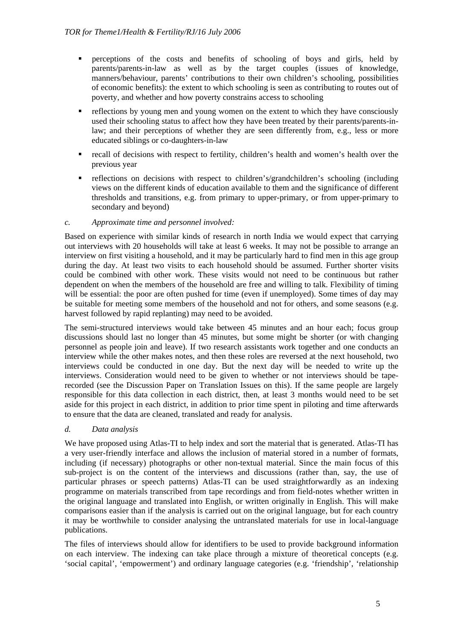- perceptions of the costs and benefits of schooling of boys and girls, held by parents/parents-in-law as well as by the target couples (issues of knowledge, manners/behaviour, parents' contributions to their own children's schooling, possibilities of economic benefits): the extent to which schooling is seen as contributing to routes out of poverty, and whether and how poverty constrains access to schooling
- reflections by young men and young women on the extent to which they have consciously used their schooling status to affect how they have been treated by their parents/parents-inlaw; and their perceptions of whether they are seen differently from, e.g., less or more educated siblings or co-daughters-in-law
- recall of decisions with respect to fertility, children's health and women's health over the previous year
- reflections on decisions with respect to children's/grandchildren's schooling (including views on the different kinds of education available to them and the significance of different thresholds and transitions, e.g. from primary to upper-primary, or from upper-primary to secondary and beyond)

#### *c. Approximate time and personnel involved:*

Based on experience with similar kinds of research in north India we would expect that carrying out interviews with 20 households will take at least 6 weeks. It may not be possible to arrange an interview on first visiting a household, and it may be particularly hard to find men in this age group during the day. At least two visits to each household should be assumed. Further shorter visits could be combined with other work. These visits would not need to be continuous but rather dependent on when the members of the household are free and willing to talk. Flexibility of timing will be essential: the poor are often pushed for time (even if unemployed). Some times of day may be suitable for meeting some members of the household and not for others, and some seasons (e.g. harvest followed by rapid replanting) may need to be avoided.

The semi-structured interviews would take between 45 minutes and an hour each; focus group discussions should last no longer than 45 minutes, but some might be shorter (or with changing personnel as people join and leave). If two research assistants work together and one conducts an interview while the other makes notes, and then these roles are reversed at the next household, two interviews could be conducted in one day. But the next day will be needed to write up the interviews. Consideration would need to be given to whether or not interviews should be taperecorded (see the Discussion Paper on Translation Issues on this). If the same people are largely responsible for this data collection in each district, then, at least 3 months would need to be set aside for this project in each district, in addition to prior time spent in piloting and time afterwards to ensure that the data are cleaned, translated and ready for analysis.

# *d. Data analysis*

We have proposed using Atlas-TI to help index and sort the material that is generated. Atlas-TI has a very user-friendly interface and allows the inclusion of material stored in a number of formats, including (if necessary) photographs or other non-textual material. Since the main focus of this sub-project is on the content of the interviews and discussions (rather than, say, the use of particular phrases or speech patterns) Atlas-TI can be used straightforwardly as an indexing programme on materials transcribed from tape recordings and from field-notes whether written in the original language and translated into English, or written originally in English. This will make comparisons easier than if the analysis is carried out on the original language, but for each country it may be worthwhile to consider analysing the untranslated materials for use in local-language publications.

The files of interviews should allow for identifiers to be used to provide background information on each interview. The indexing can take place through a mixture of theoretical concepts (e.g. 'social capital', 'empowerment') and ordinary language categories (e.g. 'friendship', 'relationship